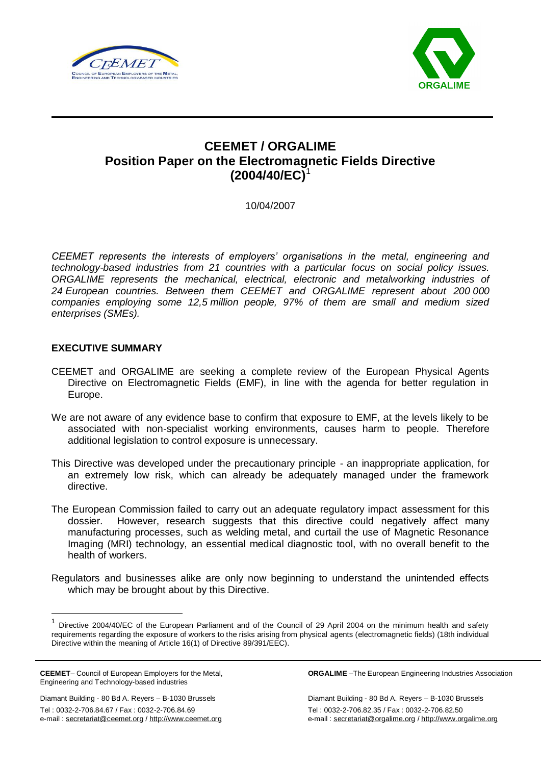



# **CEEMET / ORGALIME Position Paper on the Electromagnetic Fields Directive (2004/40/EC)**<sup>1</sup>

10/04/2007

*CEEMET represents the interests of employers' organisations in the metal, engineering and technology-based industries from 21 countries with a particular focus on social policy issues. ORGALIME represents the mechanical, electrical, electronic and metalworking industries of 24 European countries. Between them CEEMET and ORGALIME represent about 200 000 companies employing some 12,5 million people, 97% of them are small and medium sized enterprises (SMEs).*

# **EXECUTIVE SUMMARY**

- CEEMET and ORGALIME are seeking a complete review of the European Physical Agents Directive on Electromagnetic Fields (EMF), in line with the agenda for better regulation in Europe.
- We are not aware of any evidence base to confirm that exposure to EMF, at the levels likely to be associated with non-specialist working environments, causes harm to people. Therefore additional legislation to control exposure is unnecessary.
- This Directive was developed under the precautionary principle an inappropriate application, for an extremely low risk, which can already be adequately managed under the framework directive.
- The European Commission failed to carry out an adequate regulatory impact assessment for this dossier. However, research suggests that this directive could negatively affect many manufacturing processes, such as welding metal, and curtail the use of Magnetic Resonance Imaging (MRI) technology, an essential medical diagnostic tool, with no overall benefit to the health of workers.
- Regulators and businesses alike are only now beginning to understand the unintended effects which may be brought about by this Directive.

**CEEMET**– Council of European Employers for the Metal, Engineering and Technology-based industries

1

Tel : 0032-2-706.84.67 / Fax : 0032-2-706.84.69 e-mail : secretariat@ceemet.org / http://www.ceemet.org **ORGALIME** –The European Engineering Industries Association

Diamant Building - 80 Bd A. Reyers – B-1030 Brussels Diamant Building - 80 Bd A. Reyers – B-1030 Brussels Tel : 0032-2-706.82.35 / Fax : 0032-2-706.82.50 e-mail : secretariat@orgalime.org / http://www.orgalime.org

<sup>1</sup> Directive 2004/40/EC of the European Parliament and of the Council of 29 April 2004 on the minimum health and safety requirements regarding the exposure of workers to the risks arising from physical agents (electromagnetic fields) (18th individual Directive within the meaning of Article 16(1) of Directive 89/391/EEC).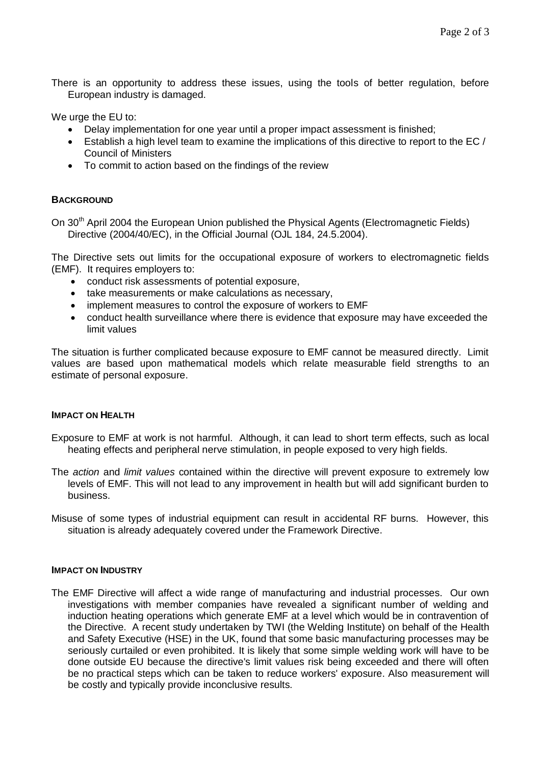There is an opportunity to address these issues, using the tools of better regulation, before European industry is damaged.

We urge the EU to:

- Delay implementation for one year until a proper impact assessment is finished;
- $\bullet$  Establish a high level team to examine the implications of this directive to report to the EC / Council of Ministers
- To commit to action based on the findings of the review

# **BACKGROUND**

On 30<sup>th</sup> April 2004 the European Union published the Physical Agents (Electromagnetic Fields) Directive (2004/40/EC), in the Official Journal (OJL 184, 24.5.2004).

The Directive sets out limits for the occupational exposure of workers to electromagnetic fields (EMF). It requires employers to:

- conduct risk assessments of potential exposure,
- take measurements or make calculations as necessary,
- implement measures to control the exposure of workers to EMF
- conduct health surveillance where there is evidence that exposure may have exceeded the limit values

The situation is further complicated because exposure to EMF cannot be measured directly. Limit values are based upon mathematical models which relate measurable field strengths to an estimate of personal exposure.

## **IMPACT ON HEALTH**

Exposure to EMF at work is not harmful. Although, it can lead to short term effects, such as local heating effects and peripheral nerve stimulation, in people exposed to very high fields.

- The *action* and *limit values* contained within the directive will prevent exposure to extremely low levels of EMF. This will not lead to any improvement in health but will add significant burden to business.
- Misuse of some types of industrial equipment can result in accidental RF burns. However, this situation is already adequately covered under the Framework Directive.

# **IMPACT ON INDUSTRY**

The EMF Directive will affect a wide range of manufacturing and industrial processes. Our own investigations with member companies have revealed a significant number of welding and induction heating operations which generate EMF at a level which would be in contravention of the Directive. A recent study undertaken by TWI (the Welding Institute) on behalf of the Health and Safety Executive (HSE) in the UK, found that some basic manufacturing processes may be seriously curtailed or even prohibited. It is likely that some simple welding work will have to be done outside EU because the directive's limit values risk being exceeded and there will often be no practical steps which can be taken to reduce workers' exposure. Also measurement will be costly and typically provide inconclusive results.